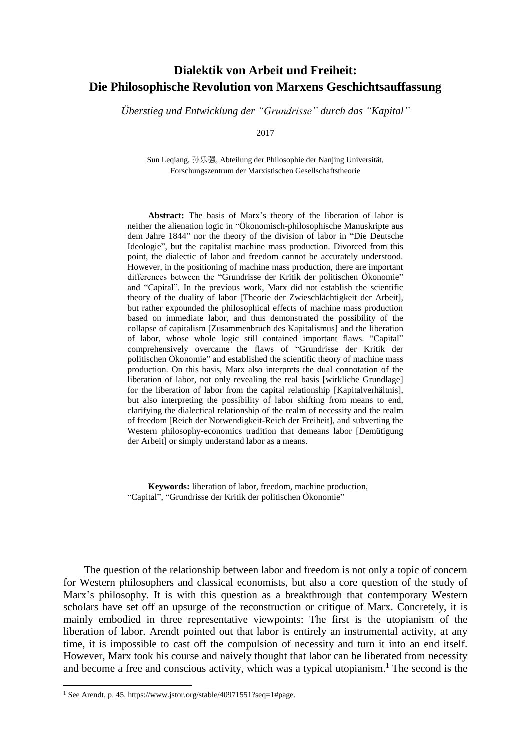## **Dialektik von Arbeit und Freiheit: Die Philosophische Revolution von Marxens Geschichtsauffassung**

*Überstieg und Entwicklung der "Grundrisse" durch das "Kapital"*

2017

Sun Leqiang, 孙乐强, Abteilung der Philosophie der Nanjing Universität, Forschungszentrum der Marxistischen Gesellschaftstheorie

**Abstract:** The basis of Marx's theory of the liberation of labor is neither the alienation logic in "Ökonomisch-philosophische Manuskripte aus dem Jahre 1844" nor the theory of the division of labor in "Die Deutsche Ideologie", but the capitalist machine mass production. Divorced from this point, the dialectic of labor and freedom cannot be accurately understood. However, in the positioning of machine mass production, there are important differences between the "Grundrisse der Kritik der politischen Ökonomie" and "Capital". In the previous work, Marx did not establish the scientific theory of the duality of labor [Theorie der Zwieschlächtigkeit der Arbeit], but rather expounded the philosophical effects of machine mass production based on immediate labor, and thus demonstrated the possibility of the collapse of capitalism [Zusammenbruch des Kapitalismus] and the liberation of labor, whose whole logic still contained important flaws. "Capital" comprehensively overcame the flaws of "Grundrisse der Kritik der politischen Ökonomie" and established the scientific theory of machine mass production. On this basis, Marx also interprets the dual connotation of the liberation of labor, not only revealing the real basis [wirkliche Grundlage] for the liberation of labor from the capital relationship [Kapitalverhältnis], but also interpreting the possibility of labor shifting from means to end, clarifying the dialectical relationship of the realm of necessity and the realm of freedom [Reich der Notwendigkeit-Reich der Freiheit], and subverting the Western philosophy-economics tradition that demeans labor [Demütigung der Arbeit] or simply understand labor as a means.

**Keywords:** liberation of labor, freedom, machine production, "Capital", "Grundrisse der Kritik der politischen Ökonomie"

The question of the relationship between labor and freedom is not only a topic of concern for Western philosophers and classical economists, but also a core question of the study of Marx's philosophy. It is with this question as a breakthrough that contemporary Western scholars have set off an upsurge of the reconstruction or critique of Marx. Concretely, it is mainly embodied in three representative viewpoints: The first is the utopianism of the liberation of labor. Arendt pointed out that labor is entirely an instrumental activity, at any time, it is impossible to cast off the compulsion of necessity and turn it into an end itself. However, Marx took his course and naively thought that labor can be liberated from necessity and become a free and conscious activity, which was a typical utopianism.<sup>1</sup> The second is the

<sup>1</sup> See Arendt, p. 45. https://www.jstor.org/stable/40971551?seq=1#page.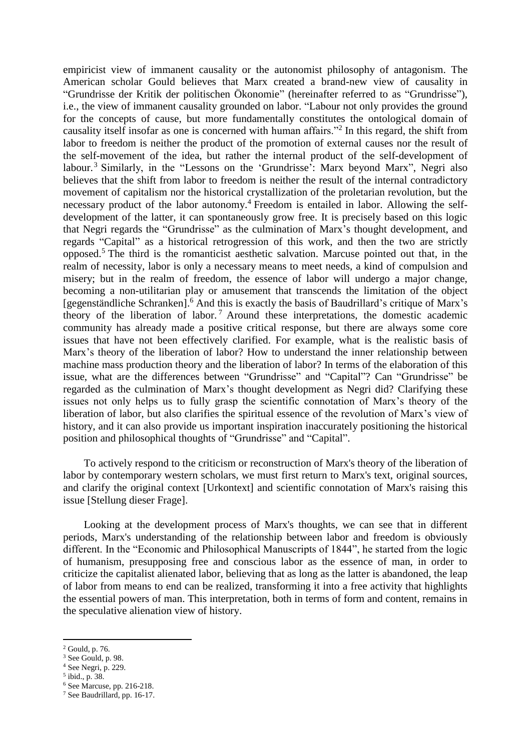empiricist view of immanent causality or the autonomist philosophy of antagonism. The American scholar Gould believes that Marx created a brand-new view of causality in "Grundrisse der Kritik der politischen Ökonomie" (hereinafter referred to as "Grundrisse"), i.e., the view of immanent causality grounded on labor. "Labour not only provides the ground for the concepts of cause, but more fundamentally constitutes the ontological domain of causality itself insofar as one is concerned with human affairs."<sup>2</sup> In this regard, the shift from labor to freedom is neither the product of the promotion of external causes nor the result of the self-movement of the idea, but rather the internal product of the self-development of labour.<sup>3</sup> Similarly, in the "Lessons on the 'Grundrisse': Marx beyond Marx", Negri also believes that the shift from labor to freedom is neither the result of the internal contradictory movement of capitalism nor the historical crystallization of the proletarian revolution, but the necessary product of the labor autonomy.<sup>4</sup> Freedom is entailed in labor. Allowing the selfdevelopment of the latter, it can spontaneously grow free. It is precisely based on this logic that Negri regards the "Grundrisse" as the culmination of Marx's thought development, and regards "Capital" as a historical retrogression of this work, and then the two are strictly opposed. <sup>5</sup> The third is the romanticist aesthetic salvation. Marcuse pointed out that, in the realm of necessity, labor is only a necessary means to meet needs, a kind of compulsion and misery; but in the realm of freedom, the essence of labor will undergo a major change, becoming a non-utilitarian play or amusement that transcends the limitation of the object [gegenständliche Schranken].<sup>6</sup> And this is exactly the basis of Baudrillard's critique of Marx's theory of the liberation of labor. <sup>7</sup> Around these interpretations, the domestic academic community has already made a positive critical response, but there are always some core issues that have not been effectively clarified. For example, what is the realistic basis of Marx's theory of the liberation of labor? How to understand the inner relationship between machine mass production theory and the liberation of labor? In terms of the elaboration of this issue, what are the differences between "Grundrisse" and "Capital"? Can "Grundrisse" be regarded as the culmination of Marx's thought development as Negri did? Clarifying these issues not only helps us to fully grasp the scientific connotation of Marx's theory of the liberation of labor, but also clarifies the spiritual essence of the revolution of Marx's view of history, and it can also provide us important inspiration inaccurately positioning the historical position and philosophical thoughts of "Grundrisse" and "Capital".

To actively respond to the criticism or reconstruction of Marx's theory of the liberation of labor by contemporary western scholars, we must first return to Marx's text, original sources, and clarify the original context [Urkontext] and scientific connotation of Marx's raising this issue [Stellung dieser Frage].

Looking at the development process of Marx's thoughts, we can see that in different periods, Marx's understanding of the relationship between labor and freedom is obviously different. In the "Economic and Philosophical Manuscripts of 1844", he started from the logic of humanism, presupposing free and conscious labor as the essence of man, in order to criticize the capitalist alienated labor, believing that as long as the latter is abandoned, the leap of labor from means to end can be realized, transforming it into a free activity that highlights the essential powers of man. This interpretation, both in terms of form and content, remains in the speculative alienation view of history.

<sup>2</sup> Gould, p. 76.

<sup>&</sup>lt;sup>3</sup> See Gould, p. 98.

<sup>4</sup> See Negri, p. 229.

<sup>5</sup> ibid., p. 38.

<sup>6</sup> See Marcuse, pp. 216-218.

<sup>7</sup> See Baudrillard, pp. 16-17.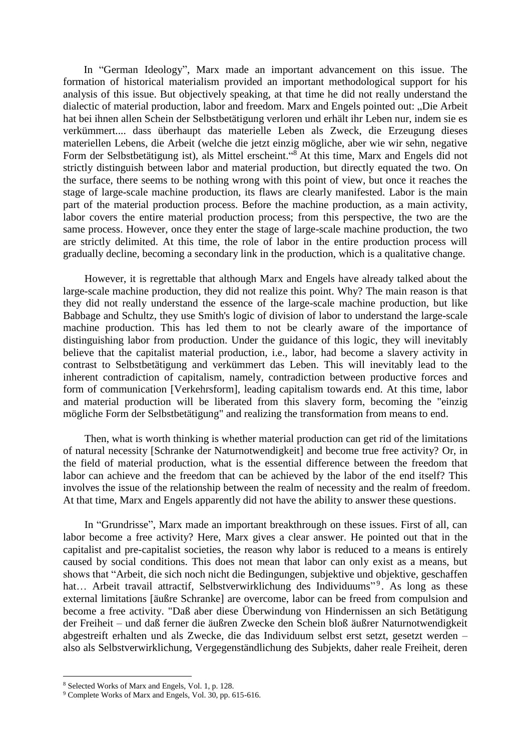In "German Ideology", Marx made an important advancement on this issue. The formation of historical materialism provided an important methodological support for his analysis of this issue. But objectively speaking, at that time he did not really understand the dialectic of material production, labor and freedom. Marx and Engels pointed out: "Die Arbeit hat bei ihnen allen Schein der Selbstbetätigung verloren und erhält ihr Leben nur, indem sie es verkümmert.... dass überhaupt das materielle Leben als Zweck, die Erzeugung dieses materiellen Lebens, die Arbeit (welche die jetzt einzig mögliche, aber wie wir sehn, negative Form der Selbstbetätigung ist), als Mittel erscheint."<sup>8</sup> At this time, Marx and Engels did not strictly distinguish between labor and material production, but directly equated the two. On the surface, there seems to be nothing wrong with this point of view, but once it reaches the stage of large-scale machine production, its flaws are clearly manifested. Labor is the main part of the material production process. Before the machine production, as a main activity, labor covers the entire material production process; from this perspective, the two are the same process. However, once they enter the stage of large-scale machine production, the two are strictly delimited. At this time, the role of labor in the entire production process will gradually decline, becoming a secondary link in the production, which is a qualitative change.

However, it is regrettable that although Marx and Engels have already talked about the large-scale machine production, they did not realize this point. Why? The main reason is that they did not really understand the essence of the large-scale machine production, but like Babbage and Schultz, they use Smith's logic of division of labor to understand the large-scale machine production. This has led them to not be clearly aware of the importance of distinguishing labor from production. Under the guidance of this logic, they will inevitably believe that the capitalist material production, i.e., labor, had become a slavery activity in contrast to Selbstbetätigung and verkümmert das Leben. This will inevitably lead to the inherent contradiction of capitalism, namely, contradiction between productive forces and form of communication [Verkehrsform], leading capitalism towards end. At this time, labor and material production will be liberated from this slavery form, becoming the "einzig mögliche Form der Selbstbetätigung" and realizing the transformation from means to end.

Then, what is worth thinking is whether material production can get rid of the limitations of natural necessity [Schranke der Naturnotwendigkeit] and become true free activity? Or, in the field of material production, what is the essential difference between the freedom that labor can achieve and the freedom that can be achieved by the labor of the end itself? This involves the issue of the relationship between the realm of necessity and the realm of freedom. At that time, Marx and Engels apparently did not have the ability to answer these questions.

In "Grundrisse", Marx made an important breakthrough on these issues. First of all, can labor become a free activity? Here, Marx gives a clear answer. He pointed out that in the capitalist and pre-capitalist societies, the reason why labor is reduced to a means is entirely caused by social conditions. This does not mean that labor can only exist as a means, but shows that "Arbeit, die sich noch nicht die Bedingungen, subjektive und objektive, geschaffen hat... Arbeit travail attractif, Selbstverwirklichung des Individuums"<sup>9</sup>. As long as these external limitations [äußre Schranke] are overcome, labor can be freed from compulsion and become a free activity. "Daß aber diese Überwindung von Hindernissen an sich Betätigung der Freiheit – und daß ferner die äußren Zwecke den Schein bloß äußrer Naturnotwendigkeit abgestreift erhalten und als Zwecke, die das Individuum selbst erst setzt, gesetzt werden – also als Selbstverwirklichung, Vergegenständlichung des Subjekts, daher reale Freiheit, deren

1

<sup>8</sup> Selected Works of Marx and Engels, Vol. 1, p. 128.

<sup>9</sup> Complete Works of Marx and Engels, Vol. 30, pp. 615-616.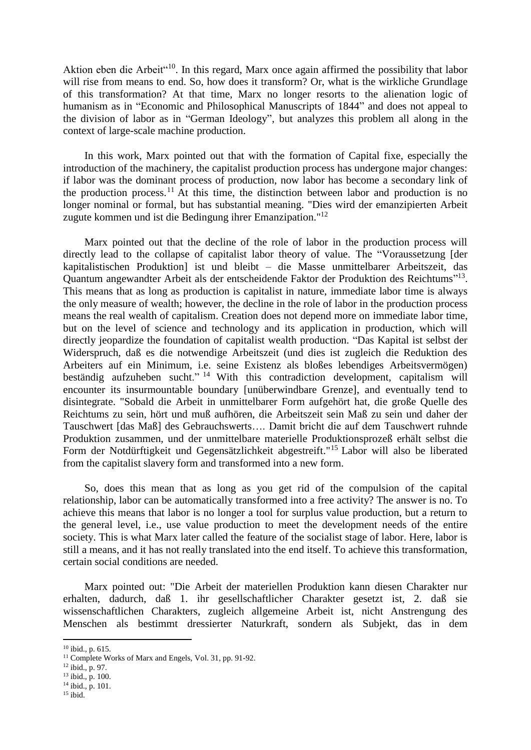Aktion eben die Arbeit"<sup>10</sup>. In this regard, Marx once again affirmed the possibility that labor will rise from means to end. So, how does it transform? Or, what is the wirkliche Grundlage of this transformation? At that time, Marx no longer resorts to the alienation logic of humanism as in "Economic and Philosophical Manuscripts of 1844" and does not appeal to the division of labor as in "German Ideology", but analyzes this problem all along in the context of large-scale machine production.

In this work, Marx pointed out that with the formation of Capital fixe, especially the introduction of the machinery, the capitalist production process has undergone major changes: if labor was the dominant process of production, now labor has become a secondary link of the production process.<sup>11</sup> At this time, the distinction between labor and production is no longer nominal or formal, but has substantial meaning. "Dies wird der emanzipierten Arbeit zugute kommen und ist die Bedingung ihrer Emanzipation."<sup>12</sup>

Marx pointed out that the decline of the role of labor in the production process will directly lead to the collapse of capitalist labor theory of value. The "Voraussetzung [der kapitalistischen Produktion] ist und bleibt – die Masse unmittelbarer Arbeitszeit, das Quantum angewandter Arbeit als der entscheidende Faktor der Produktion des Reichtums"<sup>13</sup>. This means that as long as production is capitalist in nature, immediate labor time is always the only measure of wealth; however, the decline in the role of labor in the production process means the real wealth of capitalism. Creation does not depend more on immediate labor time, but on the level of science and technology and its application in production, which will directly jeopardize the foundation of capitalist wealth production. "Das Kapital ist selbst der Widerspruch, daß es die notwendige Arbeitszeit (und dies ist zugleich die Reduktion des Arbeiters auf ein Minimum, i.e. seine Existenz als bloßes lebendiges Arbeitsvermögen) beständig aufzuheben sucht." <sup>14</sup> With this contradiction development, capitalism will encounter its insurmountable boundary [unüberwindbare Grenze], and eventually tend to disintegrate. "Sobald die Arbeit in unmittelbarer Form aufgehört hat, die große Quelle des Reichtums zu sein, hört und muß aufhören, die Arbeitszeit sein Maß zu sein und daher der Tauschwert [das Maß] des Gebrauchswerts…. Damit bricht die auf dem Tauschwert ruhnde Produktion zusammen, und der unmittelbare materielle Produktionsprozeß erhält selbst die Form der Notdürftigkeit und Gegensätzlichkeit abgestreift."<sup>15</sup> Labor will also be liberated from the capitalist slavery form and transformed into a new form.

So, does this mean that as long as you get rid of the compulsion of the capital relationship, labor can be automatically transformed into a free activity? The answer is no. To achieve this means that labor is no longer a tool for surplus value production, but a return to the general level, i.e., use value production to meet the development needs of the entire society. This is what Marx later called the feature of the socialist stage of labor. Here, labor is still a means, and it has not really translated into the end itself. To achieve this transformation, certain social conditions are needed.

Marx pointed out: "Die Arbeit der materiellen Produktion kann diesen Charakter nur erhalten, dadurch, daß 1. ihr gesellschaftlicher Charakter gesetzt ist, 2. daß sie wissenschaftlichen Charakters, zugleich allgemeine Arbeit ist, nicht Anstrengung des Menschen als bestimmt dressierter Naturkraft, sondern als Subjekt, das in dem

<sup>10</sup> ibid., p. 615.

<sup>&</sup>lt;sup>11</sup> Complete Works of Marx and Engels, Vol. 31, pp. 91-92.

 $12$  ibid., p. 97.

 $13$  ibid., p. 100.

<sup>14</sup> ibid., p. 101.

 $15$  ibid.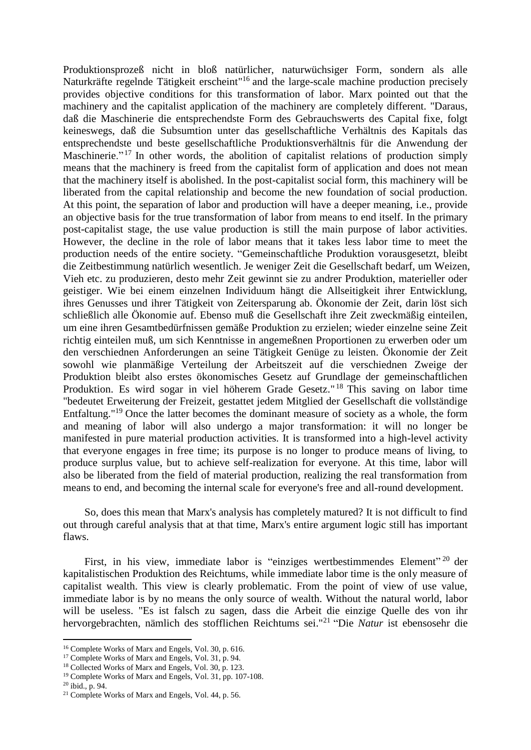Produktionsprozeß nicht in bloß natürlicher, naturwüchsiger Form, sondern als alle Naturkräfte regelnde Tätigkeit erscheint<sup>"16</sup> and the large-scale machine production precisely provides objective conditions for this transformation of labor. Marx pointed out that the machinery and the capitalist application of the machinery are completely different. "Daraus, daß die Maschinerie die entsprechendste Form des Gebrauchswerts des Capital fixe, folgt keineswegs, daß die Subsumtion unter das gesellschaftliche Verhältnis des Kapitals das entsprechendste und beste gesellschaftliche Produktionsverhältnis für die Anwendung der Maschinerie."<sup>17</sup> In other words, the abolition of capitalist relations of production simply means that the machinery is freed from the capitalist form of application and does not mean that the machinery itself is abolished. In the post-capitalist social form, this machinery will be liberated from the capital relationship and become the new foundation of social production. At this point, the separation of labor and production will have a deeper meaning, i.e., provide an objective basis for the true transformation of labor from means to end itself. In the primary post-capitalist stage, the use value production is still the main purpose of labor activities. However, the decline in the role of labor means that it takes less labor time to meet the production needs of the entire society. "Gemeinschaftliche Produktion vorausgesetzt, bleibt die Zeitbestimmung natürlich wesentlich. Je weniger Zeit die Gesellschaft bedarf, um Weizen, Vieh etc. zu produzieren, desto mehr Zeit gewinnt sie zu andrer Produktion, materieller oder geistiger. Wie bei einem einzelnen Individuum hängt die Allseitigkeit ihrer Entwicklung, ihres Genusses und ihrer Tätigkeit von Zeitersparung ab. Ökonomie der Zeit, darin löst sich schließlich alle Ökonomie auf. Ebenso muß die Gesellschaft ihre Zeit zweckmäßig einteilen, um eine ihren Gesamtbedürfnissen gemäße Produktion zu erzielen; wieder einzelne seine Zeit richtig einteilen muß, um sich Kenntnisse in angemeßnen Proportionen zu erwerben oder um den verschiednen Anforderungen an seine Tätigkeit Genüge zu leisten. Ökonomie der Zeit sowohl wie planmäßige Verteilung der Arbeitszeit auf die verschiednen Zweige der Produktion bleibt also erstes ökonomisches Gesetz auf Grundlage der gemeinschaftlichen Produktion. Es wird sogar in viel höherem Grade Gesetz."<sup>18</sup> This saving on labor time "bedeutet Erweiterung der Freizeit, gestattet jedem Mitglied der Gesellschaft die vollständige Entfaltung."<sup>19</sup> Once the latter becomes the dominant measure of society as a whole, the form and meaning of labor will also undergo a major transformation: it will no longer be manifested in pure material production activities. It is transformed into a high-level activity that everyone engages in free time; its purpose is no longer to produce means of living, to produce surplus value, but to achieve self-realization for everyone. At this time, labor will also be liberated from the field of material production, realizing the real transformation from means to end, and becoming the internal scale for everyone's free and all-round development.

So, does this mean that Marx's analysis has completely matured? It is not difficult to find out through careful analysis that at that time, Marx's entire argument logic still has important flaws.

First, in his view, immediate labor is "einziges wertbestimmendes Element"<sup>20</sup> der kapitalistischen Produktion des Reichtums, while immediate labor time is the only measure of capitalist wealth. This view is clearly problematic. From the point of view of use value, immediate labor is by no means the only source of wealth. Without the natural world, labor will be useless. "Es ist falsch zu sagen, dass die Arbeit die einzige Quelle des von ihr hervorgebrachten, nämlich des stofflichen Reichtums sei." 21 "Die *Natur* ist ebensosehr die

<sup>16</sup> Complete Works of Marx and Engels, Vol. 30, p. 616.

<sup>&</sup>lt;sup>17</sup> Complete Works of Marx and Engels, Vol. 31, p. 94.

<sup>18</sup> Collected Works of Marx and Engels, Vol. 30, p. 123.

<sup>19</sup> Complete Works of Marx and Engels, Vol. 31, pp. 107-108.

 $20$  ibid., p. 94.

<sup>21</sup> Complete Works of Marx and Engels, Vol. 44, p. 56.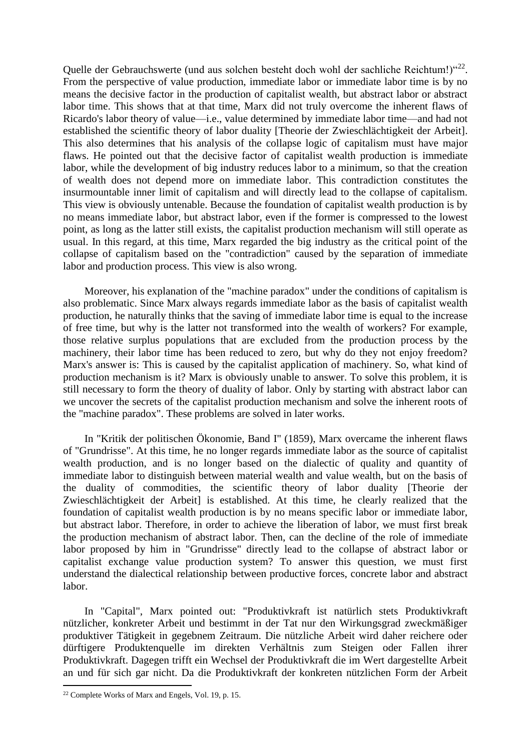Quelle der Gebrauchswerte (und aus solchen besteht doch wohl der sachliche Reichtum!)"<sup>22</sup>. From the perspective of value production, immediate labor or immediate labor time is by no means the decisive factor in the production of capitalist wealth, but abstract labor or abstract labor time. This shows that at that time, Marx did not truly overcome the inherent flaws of Ricardo's labor theory of value—i.e., value determined by immediate labor time—and had not established the scientific theory of labor duality [Theorie der Zwieschlächtigkeit der Arbeit]. This also determines that his analysis of the collapse logic of capitalism must have major flaws. He pointed out that the decisive factor of capitalist wealth production is immediate labor, while the development of big industry reduces labor to a minimum, so that the creation of wealth does not depend more on immediate labor. This contradiction constitutes the insurmountable inner limit of capitalism and will directly lead to the collapse of capitalism. This view is obviously untenable. Because the foundation of capitalist wealth production is by no means immediate labor, but abstract labor, even if the former is compressed to the lowest point, as long as the latter still exists, the capitalist production mechanism will still operate as usual. In this regard, at this time, Marx regarded the big industry as the critical point of the collapse of capitalism based on the "contradiction" caused by the separation of immediate labor and production process. This view is also wrong.

Moreover, his explanation of the "machine paradox" under the conditions of capitalism is also problematic. Since Marx always regards immediate labor as the basis of capitalist wealth production, he naturally thinks that the saving of immediate labor time is equal to the increase of free time, but why is the latter not transformed into the wealth of workers? For example, those relative surplus populations that are excluded from the production process by the machinery, their labor time has been reduced to zero, but why do they not enjoy freedom? Marx's answer is: This is caused by the capitalist application of machinery. So, what kind of production mechanism is it? Marx is obviously unable to answer. To solve this problem, it is still necessary to form the theory of duality of labor. Only by starting with abstract labor can we uncover the secrets of the capitalist production mechanism and solve the inherent roots of the "machine paradox". These problems are solved in later works.

In "Kritik der politischen Ökonomie, Band I" (1859), Marx overcame the inherent flaws of "Grundrisse". At this time, he no longer regards immediate labor as the source of capitalist wealth production, and is no longer based on the dialectic of quality and quantity of immediate labor to distinguish between material wealth and value wealth, but on the basis of the duality of commodities, the scientific theory of labor duality [Theorie der Zwieschlächtigkeit der Arbeit] is established. At this time, he clearly realized that the foundation of capitalist wealth production is by no means specific labor or immediate labor, but abstract labor. Therefore, in order to achieve the liberation of labor, we must first break the production mechanism of abstract labor. Then, can the decline of the role of immediate labor proposed by him in "Grundrisse" directly lead to the collapse of abstract labor or capitalist exchange value production system? To answer this question, we must first understand the dialectical relationship between productive forces, concrete labor and abstract labor.

In "Capital", Marx pointed out: "Produktivkraft ist natürlich stets Produktivkraft nützlicher, konkreter Arbeit und bestimmt in der Tat nur den Wirkungsgrad zweckmäßiger produktiver Tätigkeit in gegebnem Zeitraum. Die nützliche Arbeit wird daher reichere oder dürftigere Produktenquelle im direkten Verhältnis zum Steigen oder Fallen ihrer Produktivkraft. Dagegen trifft ein Wechsel der Produktivkraft die im Wert dargestellte Arbeit an und für sich gar nicht. Da die Produktivkraft der konkreten nützlichen Form der Arbeit

<sup>22</sup> Complete Works of Marx and Engels, Vol. 19, p. 15.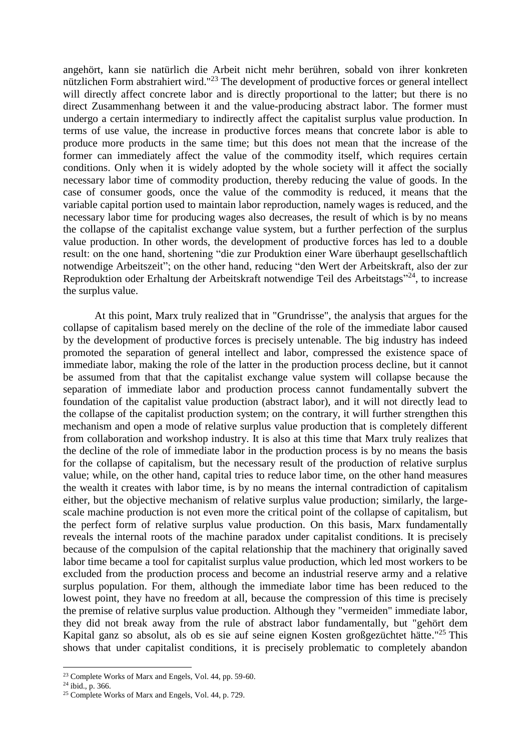angehört, kann sie natürlich die Arbeit nicht mehr berühren, sobald von ihrer konkreten nützlichen Form abstrahiert wird."<sup>23</sup> The development of productive forces or general intellect will directly affect concrete labor and is directly proportional to the latter; but there is no direct Zusammenhang between it and the value-producing abstract labor. The former must undergo a certain intermediary to indirectly affect the capitalist surplus value production. In terms of use value, the increase in productive forces means that concrete labor is able to produce more products in the same time; but this does not mean that the increase of the former can immediately affect the value of the commodity itself, which requires certain conditions. Only when it is widely adopted by the whole society will it affect the socially necessary labor time of commodity production, thereby reducing the value of goods. In the case of consumer goods, once the value of the commodity is reduced, it means that the variable capital portion used to maintain labor reproduction, namely wages is reduced, and the necessary labor time for producing wages also decreases, the result of which is by no means the collapse of the capitalist exchange value system, but a further perfection of the surplus value production. In other words, the development of productive forces has led to a double result: on the one hand, shortening "die zur Produktion einer Ware überhaupt gesellschaftlich notwendige Arbeitszeit"; on the other hand, reducing "den Wert der Arbeitskraft, also der zur Reproduktion oder Erhaltung der Arbeitskraft notwendige Teil des Arbeitstags"<sup>24</sup>, to increase the surplus value.

At this point, Marx truly realized that in "Grundrisse", the analysis that argues for the collapse of capitalism based merely on the decline of the role of the immediate labor caused by the development of productive forces is precisely untenable. The big industry has indeed promoted the separation of general intellect and labor, compressed the existence space of immediate labor, making the role of the latter in the production process decline, but it cannot be assumed from that that the capitalist exchange value system will collapse because the separation of immediate labor and production process cannot fundamentally subvert the foundation of the capitalist value production (abstract labor), and it will not directly lead to the collapse of the capitalist production system; on the contrary, it will further strengthen this mechanism and open a mode of relative surplus value production that is completely different from collaboration and workshop industry. It is also at this time that Marx truly realizes that the decline of the role of immediate labor in the production process is by no means the basis for the collapse of capitalism, but the necessary result of the production of relative surplus value; while, on the other hand, capital tries to reduce labor time, on the other hand measures the wealth it creates with labor time, is by no means the internal contradiction of capitalism either, but the objective mechanism of relative surplus value production; similarly, the largescale machine production is not even more the critical point of the collapse of capitalism, but the perfect form of relative surplus value production. On this basis, Marx fundamentally reveals the internal roots of the machine paradox under capitalist conditions. It is precisely because of the compulsion of the capital relationship that the machinery that originally saved labor time became a tool for capitalist surplus value production, which led most workers to be excluded from the production process and become an industrial reserve army and a relative surplus population. For them, although the immediate labor time has been reduced to the lowest point, they have no freedom at all, because the compression of this time is precisely the premise of relative surplus value production. Although they "vermeiden" immediate labor, they did not break away from the rule of abstract labor fundamentally, but "gehört dem Kapital ganz so absolut, als ob es sie auf seine eignen Kosten großgezüchtet hätte."<sup>25</sup> This shows that under capitalist conditions, it is precisely problematic to completely abandon

**<sup>.</sup>** <sup>23</sup> Complete Works of Marx and Engels, Vol. 44, pp. 59-60.

 $24$  ibid., p. 366.

<sup>25</sup> Complete Works of Marx and Engels, Vol. 44, p. 729.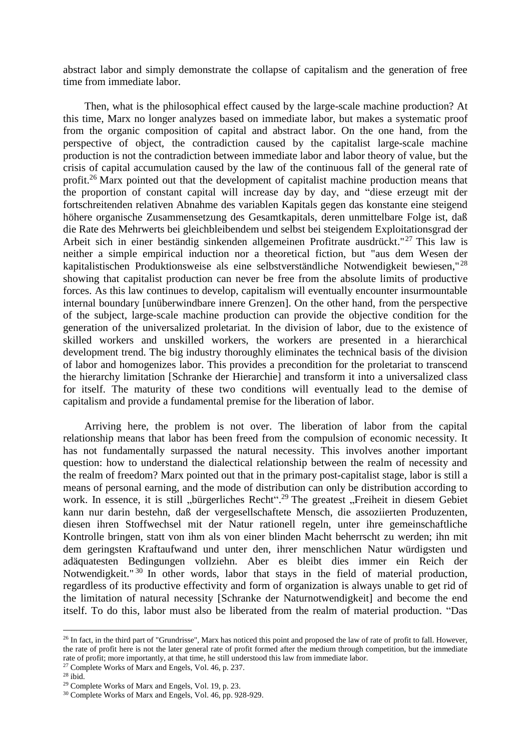abstract labor and simply demonstrate the collapse of capitalism and the generation of free time from immediate labor.

Then, what is the philosophical effect caused by the large-scale machine production? At this time, Marx no longer analyzes based on immediate labor, but makes a systematic proof from the organic composition of capital and abstract labor. On the one hand, from the perspective of object, the contradiction caused by the capitalist large-scale machine production is not the contradiction between immediate labor and labor theory of value, but the crisis of capital accumulation caused by the law of the continuous fall of the general rate of profit.<sup>26</sup> Marx pointed out that the development of capitalist machine production means that the proportion of constant capital will increase day by day, and "diese erzeugt mit der fortschreitenden relativen Abnahme des variablen Kapitals gegen das konstante eine steigend höhere organische Zusammensetzung des Gesamtkapitals, deren unmittelbare Folge ist, daß die Rate des Mehrwerts bei gleichbleibendem und selbst bei steigendem Exploitationsgrad der Arbeit sich in einer beständig sinkenden allgemeinen Profitrate ausdrückt."<sup>27</sup> This law is neither a simple empirical induction nor a theoretical fiction, but "aus dem Wesen der kapitalistischen Produktionsweise als eine selbstverständliche Notwendigkeit bewiesen,"<sup>28</sup> showing that capitalist production can never be free from the absolute limits of productive forces. As this law continues to develop, capitalism will eventually encounter insurmountable internal boundary [unüberwindbare innere Grenzen]. On the other hand, from the perspective of the subject, large-scale machine production can provide the objective condition for the generation of the universalized proletariat. In the division of labor, due to the existence of skilled workers and unskilled workers, the workers are presented in a hierarchical development trend. The big industry thoroughly eliminates the technical basis of the division of labor and homogenizes labor. This provides a precondition for the proletariat to transcend the hierarchy limitation [Schranke der Hierarchie] and transform it into a universalized class for itself. The maturity of these two conditions will eventually lead to the demise of capitalism and provide a fundamental premise for the liberation of labor.

Arriving here, the problem is not over. The liberation of labor from the capital relationship means that labor has been freed from the compulsion of economic necessity. It has not fundamentally surpassed the natural necessity. This involves another important question: how to understand the dialectical relationship between the realm of necessity and the realm of freedom? Marx pointed out that in the primary post-capitalist stage, labor is still a means of personal earning, and the mode of distribution can only be distribution according to work. In essence, it is still "bürgerliches Recht".<sup>29</sup> The greatest "Freiheit in diesem Gebiet kann nur darin bestehn, daß der vergesellschaftete Mensch, die assoziierten Produzenten, diesen ihren Stoffwechsel mit der Natur rationell regeln, unter ihre gemeinschaftliche Kontrolle bringen, statt von ihm als von einer blinden Macht beherrscht zu werden; ihn mit dem geringsten Kraftaufwand und unter den, ihrer menschlichen Natur würdigsten und adäquatesten Bedingungen vollziehn. Aber es bleibt dies immer ein Reich der Notwendigkeit."<sup>30</sup> In other words, labor that stays in the field of material production, regardless of its productive effectivity and form of organization is always unable to get rid of the limitation of natural necessity [Schranke der Naturnotwendigkeit] and become the end itself. To do this, labor must also be liberated from the realm of material production. "Das

1

 $^{26}$  In fact, in the third part of "Grundrisse", Marx has noticed this point and proposed the law of rate of profit to fall. However, the rate of profit here is not the later general rate of profit formed after the medium through competition, but the immediate rate of profit; more importantly, at that time, he still understood this law from immediate labor. <sup>27</sup> Complete Works of Marx and Engels, Vol. 46, p. 237.

<sup>28</sup> ibid.

<sup>29</sup> Complete Works of Marx and Engels, Vol. 19, p. 23.

<sup>30</sup> Complete Works of Marx and Engels, Vol. 46, pp. 928-929.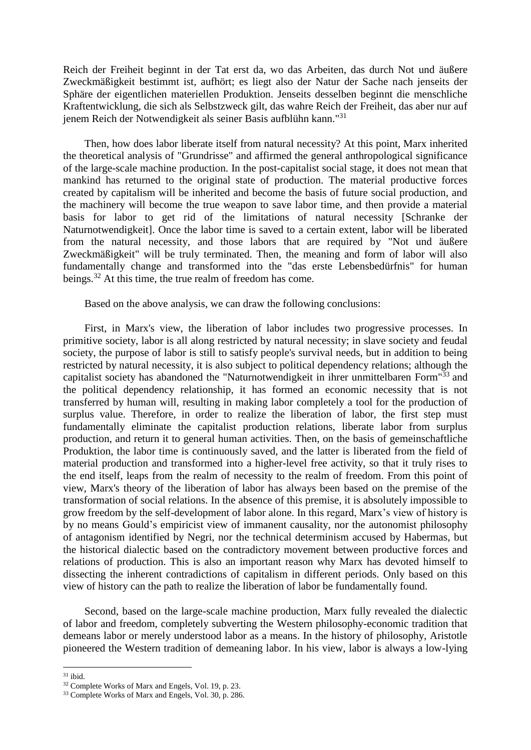Reich der Freiheit beginnt in der Tat erst da, wo das Arbeiten, das durch Not und äußere Zweckmäßigkeit bestimmt ist, aufhört; es liegt also der Natur der Sache nach jenseits der Sphäre der eigentlichen materiellen Produktion. Jenseits desselben beginnt die menschliche Kraftentwicklung, die sich als Selbstzweck gilt, das wahre Reich der Freiheit, das aber nur auf jenem Reich der Notwendigkeit als seiner Basis aufblühn kann."<sup>31</sup>

Then, how does labor liberate itself from natural necessity? At this point, Marx inherited the theoretical analysis of "Grundrisse" and affirmed the general anthropological significance of the large-scale machine production. In the post-capitalist social stage, it does not mean that mankind has returned to the original state of production. The material productive forces created by capitalism will be inherited and become the basis of future social production, and the machinery will become the true weapon to save labor time, and then provide a material basis for labor to get rid of the limitations of natural necessity [Schranke der Naturnotwendigkeit]. Once the labor time is saved to a certain extent, labor will be liberated from the natural necessity, and those labors that are required by "Not und äußere Zweckmäßigkeit" will be truly terminated. Then, the meaning and form of labor will also fundamentally change and transformed into the "das erste Lebensbedürfnis" for human beings.<sup>32</sup> At this time, the true realm of freedom has come.

Based on the above analysis, we can draw the following conclusions:

First, in Marx's view, the liberation of labor includes two progressive processes. In primitive society, labor is all along restricted by natural necessity; in slave society and feudal society, the purpose of labor is still to satisfy people's survival needs, but in addition to being restricted by natural necessity, it is also subject to political dependency relations; although the capitalist society has abandoned the "Naturnotwendigkeit in ihrer unmittelbaren Form"<sup>33</sup> and the political dependency relationship, it has formed an economic necessity that is not transferred by human will, resulting in making labor completely a tool for the production of surplus value. Therefore, in order to realize the liberation of labor, the first step must fundamentally eliminate the capitalist production relations, liberate labor from surplus production, and return it to general human activities. Then, on the basis of gemeinschaftliche Produktion, the labor time is continuously saved, and the latter is liberated from the field of material production and transformed into a higher-level free activity, so that it truly rises to the end itself, leaps from the realm of necessity to the realm of freedom. From this point of view, Marx's theory of the liberation of labor has always been based on the premise of the transformation of social relations. In the absence of this premise, it is absolutely impossible to grow freedom by the self-development of labor alone. In this regard, Marx's view of history is by no means Gould's empiricist view of immanent causality, nor the autonomist philosophy of antagonism identified by Negri, nor the technical determinism accused by Habermas, but the historical dialectic based on the contradictory movement between productive forces and relations of production. This is also an important reason why Marx has devoted himself to dissecting the inherent contradictions of capitalism in different periods. Only based on this view of history can the path to realize the liberation of labor be fundamentally found.

Second, based on the large-scale machine production, Marx fully revealed the dialectic of labor and freedom, completely subverting the Western philosophy-economic tradition that demeans labor or merely understood labor as a means. In the history of philosophy, Aristotle pioneered the Western tradition of demeaning labor. In his view, labor is always a low-lying

 $31$  ibid.

<sup>32</sup> Complete Works of Marx and Engels, Vol. 19, p. 23.

<sup>33</sup> Complete Works of Marx and Engels, Vol. 30, p. 286.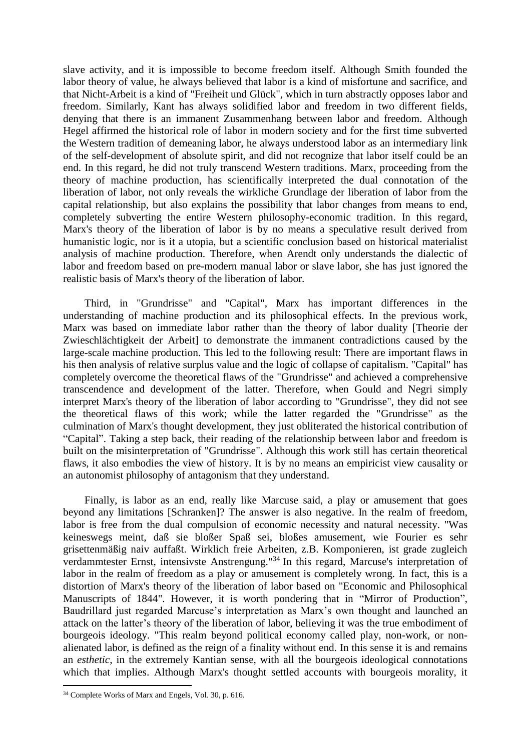slave activity, and it is impossible to become freedom itself. Although Smith founded the labor theory of value, he always believed that labor is a kind of misfortune and sacrifice, and that Nicht-Arbeit is a kind of "Freiheit und Glück", which in turn abstractly opposes labor and freedom. Similarly, Kant has always solidified labor and freedom in two different fields, denying that there is an immanent Zusammenhang between labor and freedom. Although Hegel affirmed the historical role of labor in modern society and for the first time subverted the Western tradition of demeaning labor, he always understood labor as an intermediary link of the self-development of absolute spirit, and did not recognize that labor itself could be an end. In this regard, he did not truly transcend Western traditions. Marx, proceeding from the theory of machine production, has scientifically interpreted the dual connotation of the liberation of labor, not only reveals the wirkliche Grundlage der liberation of labor from the capital relationship, but also explains the possibility that labor changes from means to end, completely subverting the entire Western philosophy-economic tradition. In this regard, Marx's theory of the liberation of labor is by no means a speculative result derived from humanistic logic, nor is it a utopia, but a scientific conclusion based on historical materialist analysis of machine production. Therefore, when Arendt only understands the dialectic of labor and freedom based on pre-modern manual labor or slave labor, she has just ignored the realistic basis of Marx's theory of the liberation of labor.

Third, in "Grundrisse" and "Capital", Marx has important differences in the understanding of machine production and its philosophical effects. In the previous work, Marx was based on immediate labor rather than the theory of labor duality [Theorie der Zwieschlächtigkeit der Arbeit] to demonstrate the immanent contradictions caused by the large-scale machine production. This led to the following result: There are important flaws in his then analysis of relative surplus value and the logic of collapse of capitalism. "Capital" has completely overcome the theoretical flaws of the "Grundrisse" and achieved a comprehensive transcendence and development of the latter. Therefore, when Gould and Negri simply interpret Marx's theory of the liberation of labor according to "Grundrisse", they did not see the theoretical flaws of this work; while the latter regarded the "Grundrisse" as the culmination of Marx's thought development, they just obliterated the historical contribution of "Capital". Taking a step back, their reading of the relationship between labor and freedom is built on the misinterpretation of "Grundrisse". Although this work still has certain theoretical flaws, it also embodies the view of history. It is by no means an empiricist view causality or an autonomist philosophy of antagonism that they understand.

Finally, is labor as an end, really like Marcuse said, a play or amusement that goes beyond any limitations [Schranken]? The answer is also negative. In the realm of freedom, labor is free from the dual compulsion of economic necessity and natural necessity. "Was keineswegs meint, daß sie bloßer Spaß sei, bloßes amusement, wie Fourier es sehr grisettenmäßig naiv auffaßt. Wirklich freie Arbeiten, z.B. Komponieren, ist grade zugleich verdammtester Ernst, intensivste Anstrengung."<sup>34</sup> In this regard, Marcuse's interpretation of labor in the realm of freedom as a play or amusement is completely wrong. In fact, this is a distortion of Marx's theory of the liberation of labor based on "Economic and Philosophical Manuscripts of 1844". However, it is worth pondering that in "Mirror of Production", Baudrillard just regarded Marcuse's interpretation as Marx's own thought and launched an attack on the latter's theory of the liberation of labor, believing it was the true embodiment of bourgeois ideology. "This realm beyond political economy called play, non-work, or nonalienated labor, is defined as the reign of a finality without end. In this sense it is and remains an *esthetic*, in the extremely Kantian sense, with all the bourgeois ideological connotations which that implies. Although Marx's thought settled accounts with bourgeois morality, it

<sup>34</sup> Complete Works of Marx and Engels, Vol. 30, p. 616.